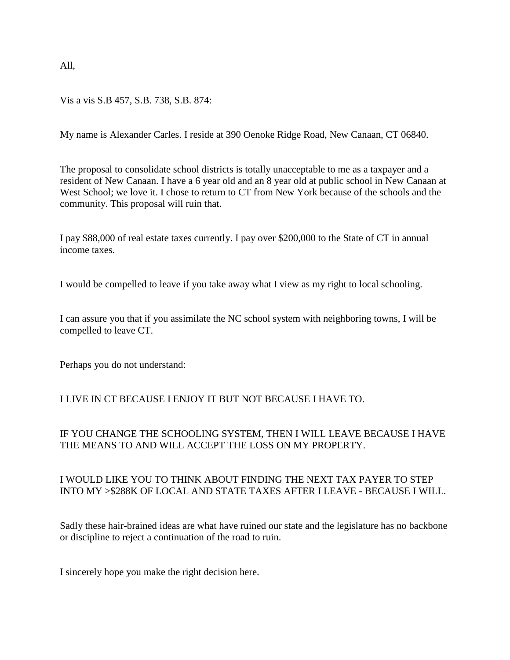All,

## Vis a vis S.B 457, S.B. 738, S.B. 874:

My name is Alexander Carles. I reside at 390 Oenoke Ridge Road, New Canaan, CT 06840.

The proposal to consolidate school districts is totally unacceptable to me as a taxpayer and a resident of New Canaan. I have a 6 year old and an 8 year old at public school in New Canaan at West School; we love it. I chose to return to CT from New York because of the schools and the community. This proposal will ruin that.

I pay \$88,000 of real estate taxes currently. I pay over \$200,000 to the State of CT in annual income taxes.

I would be compelled to leave if you take away what I view as my right to local schooling.

I can assure you that if you assimilate the NC school system with neighboring towns, I will be compelled to leave CT.

Perhaps you do not understand:

## I LIVE IN CT BECAUSE I ENJOY IT BUT NOT BECAUSE I HAVE TO.

## IF YOU CHANGE THE SCHOOLING SYSTEM, THEN I WILL LEAVE BECAUSE I HAVE THE MEANS TO AND WILL ACCEPT THE LOSS ON MY PROPERTY.

## I WOULD LIKE YOU TO THINK ABOUT FINDING THE NEXT TAX PAYER TO STEP INTO MY >\$288K OF LOCAL AND STATE TAXES AFTER I LEAVE - BECAUSE I WILL.

Sadly these hair-brained ideas are what have ruined our state and the legislature has no backbone or discipline to reject a continuation of the road to ruin.

I sincerely hope you make the right decision here.